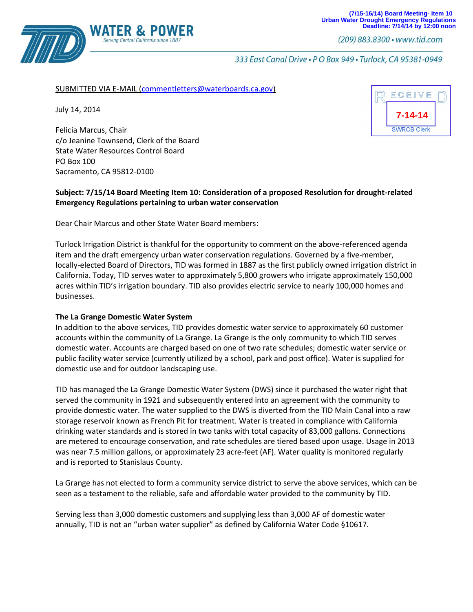

(209) 883.8300 · www.tid.com

333 East Canal Drive . P O Box 949 . Turlock, CA 95381-0949

## SUBMITTED VIA E-MAIL [\(commentletters@waterboards.ca.gov\)](mailto:commentletters@waterboards.ca.gov)

July 14, 2014

Felicia Marcus, Chair c/o Jeanine Townsend, Clerk of the Board State Water Resources Control Board PO Box 100 Sacramento, CA 95812-0100

Serving Central California sinc

## **Subject: 7/15/14 Board Meeting Item 10: Consideration of a proposed Resolution for drought-related Emergency Regulations pertaining to urban water conservation**

Dear Chair Marcus and other State Water Board members:

Turlock Irrigation District is thankful for the opportunity to comment on the above-referenced agenda item and the draft emergency urban water conservation regulations. Governed by a five-member, locally-elected Board of Directors, TID was formed in 1887 as the first publicly owned irrigation district in California. Today, TID serves water to approximately 5,800 growers who irrigate approximately 150,000 acres within TID's irrigation boundary. TID also provides electric service to nearly 100,000 homes and businesses.

## **The La Grange Domestic Water System**

In addition to the above services, TID provides domestic water service to approximately 60 customer accounts within the community of La Grange. La Grange is the only community to which TID serves domestic water. Accounts are charged based on one of two rate schedules; domestic water service or public facility water service (currently utilized by a school, park and post office). Water is supplied for domestic use and for outdoor landscaping use.

TID has managed the La Grange Domestic Water System (DWS) since it purchased the water right that served the community in 1921 and subsequently entered into an agreement with the community to provide domestic water. The water supplied to the DWS is diverted from the TID Main Canal into a raw storage reservoir known as French Pit for treatment. Water is treated in compliance with California drinking water standards and is stored in two tanks with total capacity of 83,000 gallons. Connections are metered to encourage conservation, and rate schedules are tiered based upon usage. Usage in 2013 was near 7.5 million gallons, or approximately 23 acre-feet (AF). Water quality is monitored regularly and is reported to Stanislaus County.

La Grange has not elected to form a community service district to serve the above services, which can be seen as a testament to the reliable, safe and affordable water provided to the community by TID.

Serving less than 3,000 domestic customers and supplying less than 3,000 AF of domestic water annually, TID is not an "urban water supplier" as defined by California Water Code §10617.